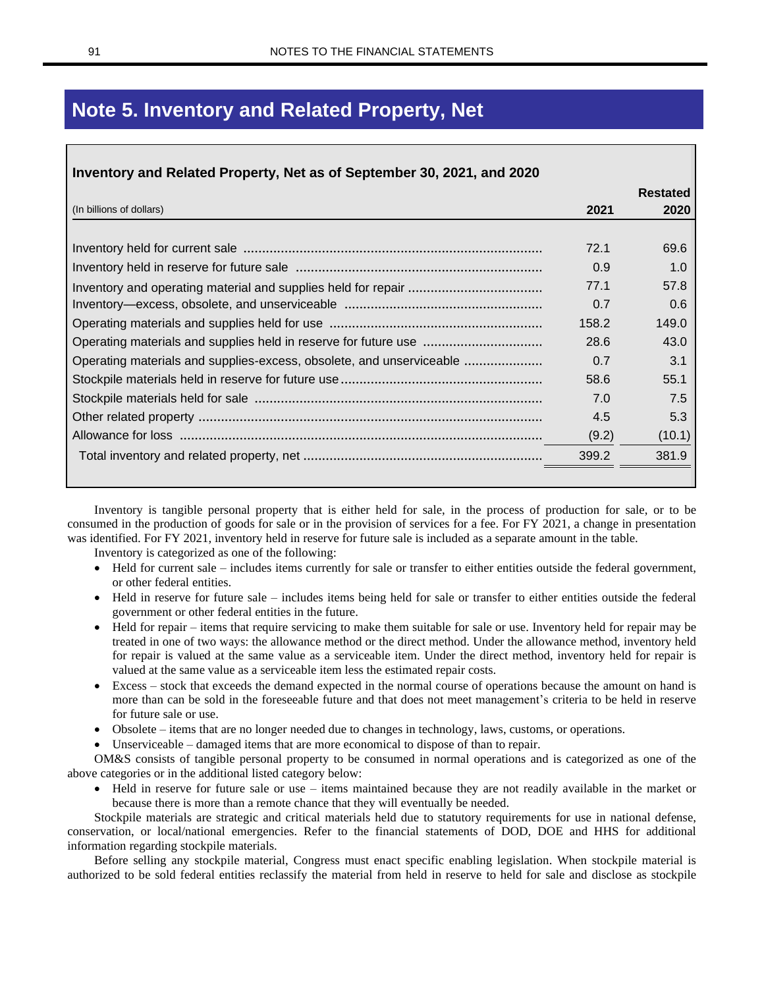## **Note 5. Inventory and Related Property, Net**

| 2021  | <b>Restated</b><br>2020 |
|-------|-------------------------|
|       |                         |
| 72.1  | 69.6                    |
| 0.9   | 1.0                     |
| 77.1  | 57.8                    |
| 0.7   | 0.6                     |
| 158.2 | 149.0                   |
| 28.6  | 43.0                    |
| 0.7   | 3.1                     |
| 58.6  | 55.1                    |
| 7.0   | 7.5                     |
| 4.5   | 5.3                     |
| (9.2) | (10.1)                  |
| 399.2 | 381.9                   |
|       |                         |

Inventory is tangible personal property that is either held for sale, in the process of production for sale, or to be consumed in the production of goods for sale or in the provision of services for a fee. For FY 2021, a change in presentation was identified. For FY 2021, inventory held in reserve for future sale is included as a separate amount in the table. Inventory is categorized as one of the following:

- 
- Held for current sale includes items currently for sale or transfer to either entities outside the federal government, or other federal entities.
- Held in reserve for future sale includes items being held for sale or transfer to either entities outside the federal government or other federal entities in the future.
- Held for repair items that require servicing to make them suitable for sale or use. Inventory held for repair may be treated in one of two ways: the allowance method or the direct method. Under the allowance method, inventory held for repair is valued at the same value as a serviceable item. Under the direct method, inventory held for repair is valued at the same value as a serviceable item less the estimated repair costs.
- Excess stock that exceeds the demand expected in the normal course of operations because the amount on hand is more than can be sold in the foreseeable future and that does not meet management's criteria to be held in reserve for future sale or use.
- Obsolete items that are no longer needed due to changes in technology, laws, customs, or operations.
- Unserviceable damaged items that are more economical to dispose of than to repair.

OM&S consists of tangible personal property to be consumed in normal operations and is categorized as one of the above categories or in the additional listed category below:

• Held in reserve for future sale or use – items maintained because they are not readily available in the market or because there is more than a remote chance that they will eventually be needed.

Stockpile materials are strategic and critical materials held due to statutory requirements for use in national defense, conservation, or local/national emergencies. Refer to the financial statements of DOD, DOE and HHS for additional information regarding stockpile materials.

Before selling any stockpile material, Congress must enact specific enabling legislation. When stockpile material is authorized to be sold federal entities reclassify the material from held in reserve to held for sale and disclose as stockpile